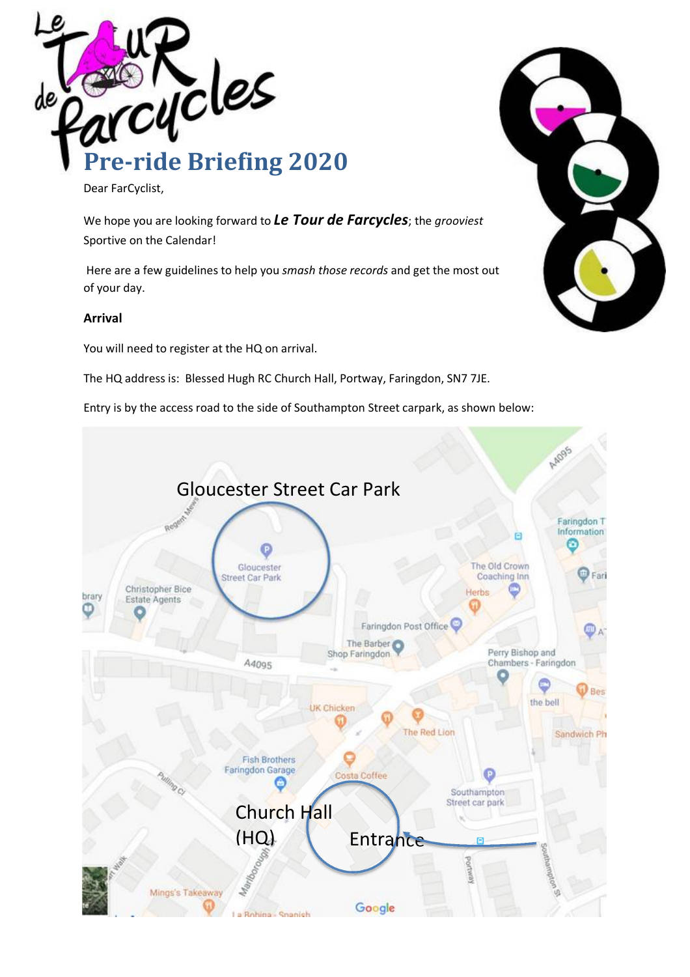

Dear FarCyclist,

We hope you are looking forward to *Le Tour de Farcycles*; the *grooviest* Sportive on the Calendar!

Here are a few guidelines to help you *smash those records* and get the most out of your day.

#### **Arrival**

You will need to register at the HQ on arrival.

The HQ address is: Blessed Hugh RC Church Hall, Portway, Faringdon, SN7 7JE.

Entry is by the access road to the side of Southampton Street carpark, as shown below:



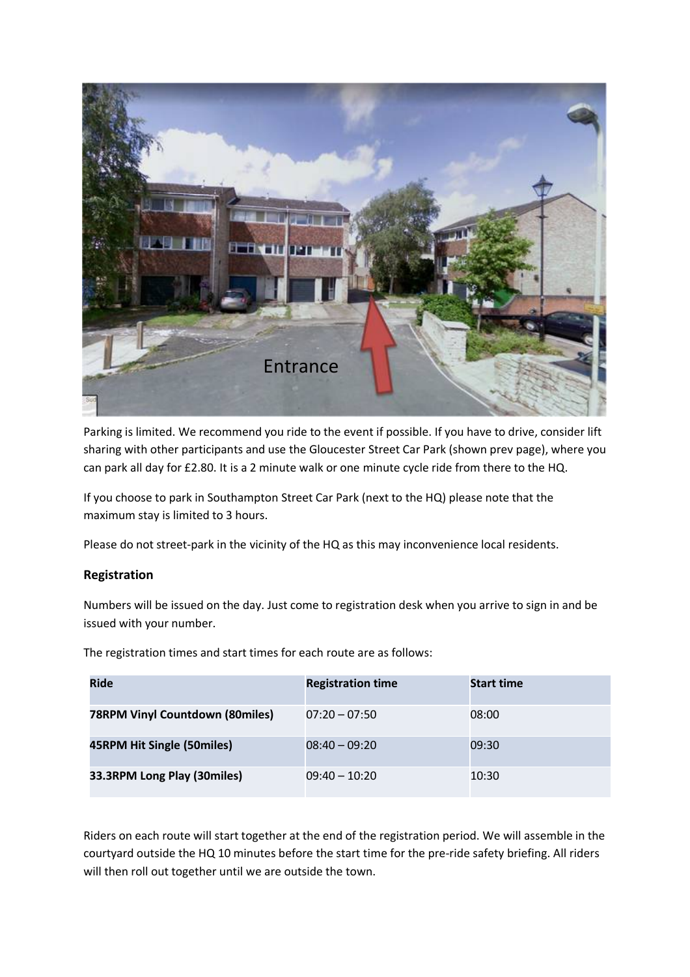

Parking is limited. We recommend you ride to the event if possible. If you have to drive, consider lift sharing with other participants and use the Gloucester Street Car Park (shown prev page), where you can park all day for £2.80. It is a 2 minute walk or one minute cycle ride from there to the HQ.

If you choose to park in Southampton Street Car Park (next to the HQ) please note that the maximum stay is limited to 3 hours.

Please do not street-park in the vicinity of the HQ as this may inconvenience local residents.

## **Registration**

Numbers will be issued on the day. Just come to registration desk when you arrive to sign in and be issued with your number.

| <b>Ride</b>                            | <b>Registration time</b> | <b>Start time</b> |
|----------------------------------------|--------------------------|-------------------|
| <b>78RPM Vinyl Countdown (80miles)</b> | $07:20 - 07:50$          | 08:00             |
| 45RPM Hit Single (50miles)             | $08:40 - 09:20$          | 09:30             |
| 33.3RPM Long Play (30miles)            | $09:40 - 10:20$          | 10:30             |

The registration times and start times for each route are as follows:

Riders on each route will start together at the end of the registration period. We will assemble in the courtyard outside the HQ 10 minutes before the start time for the pre-ride safety briefing. All riders will then roll out together until we are outside the town.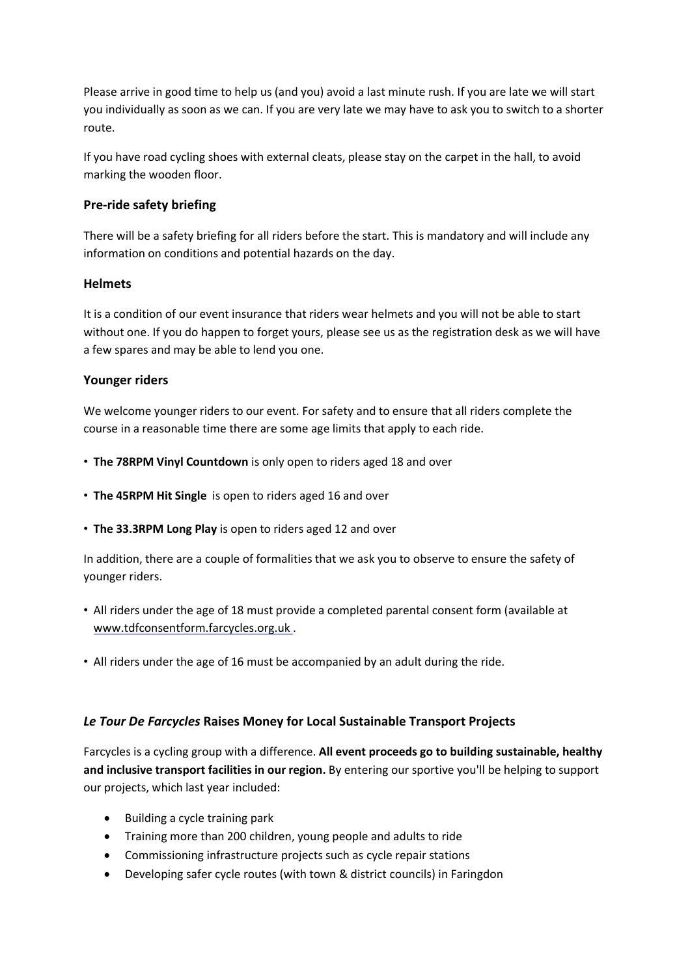Please arrive in good time to help us (and you) avoid a last minute rush. If you are late we will start you individually as soon as we can. If you are very late we may have to ask you to switch to a shorter route.

If you have road cycling shoes with external cleats, please stay on the carpet in the hall, to avoid marking the wooden floor.

# **Pre-ride safety briefing**

There will be a safety briefing for all riders before the start. This is mandatory and will include any information on conditions and potential hazards on the day.

## **Helmets**

It is a condition of our event insurance that riders wear helmets and you will not be able to start without one. If you do happen to forget yours, please see us as the registration desk as we will have a few spares and may be able to lend you one.

# **Younger riders**

We welcome younger riders to our event. For safety and to ensure that all riders complete the course in a reasonable time there are some age limits that apply to each ride.

- **The 78RPM Vinyl Countdown** is only open to riders aged 18 and over
- **The 45RPM Hit Single** is open to riders aged 16 and over
- **The 33.3RPM Long Play** is open to riders aged 12 and over

In addition, there are a couple of formalities that we ask you to observe to ensure the safety of younger riders.

- All riders under the age of 18 must provide a completed parental consent form (available at <www.tdfconsentform.farcycles.org.uk> .
- All riders under the age of 16 must be accompanied by an adult during the ride.

# *Le Tour De Farcycles* **Raises Money for Local Sustainable Transport Projects**

Farcycles is a cycling group with a difference. **All event proceeds go to building sustainable, healthy and inclusive transport facilities in our region.** By entering our sportive you'll be helping to support our projects, which last year included:

- Building a cycle training park
- Training more than 200 children, young people and adults to ride
- Commissioning infrastructure projects such as cycle repair stations
- Developing safer cycle routes (with town & district councils) in Faringdon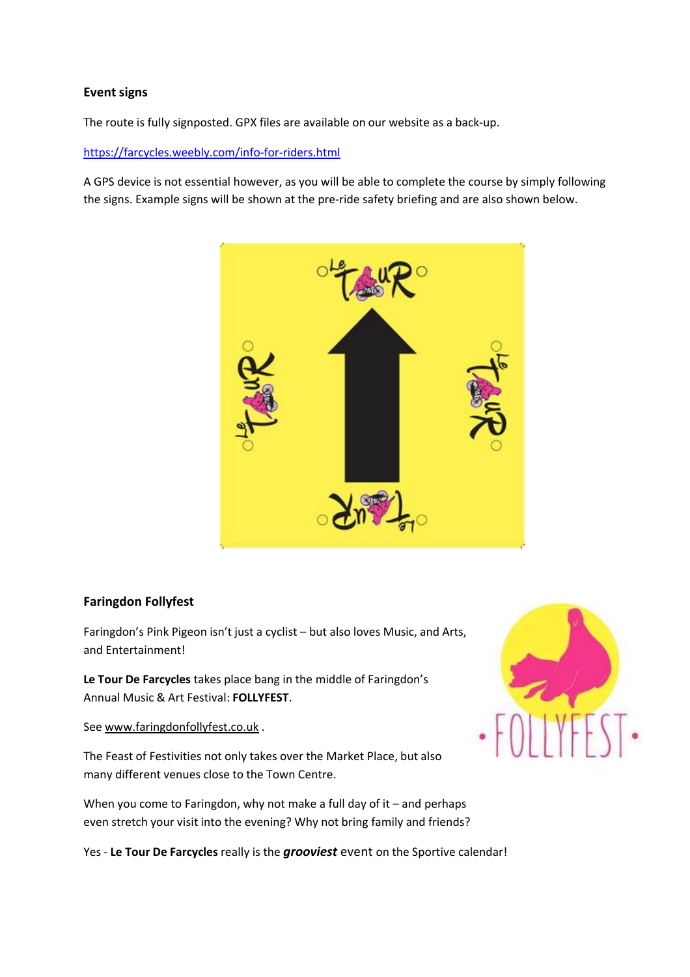# **Event signs**

The route is fully signposted. GPX files are available on our website as a back-up.

#### https://farcycles.weebly.com/info-for-riders.html

A GPS device is not essential however, as you will be able to complete the course by simply following the signs. Example signs will be shown at the pre-ride safety briefing and are also shown below.



## **Faringdon Follyfest**

Faringdon's Pink Pigeon isn't just a cyclist – but also loves Music, and Arts, and Entertainment!

**Le Tour De Farcycles** takes place bang in the middle of Faringdon's Annual Music & Art Festival: **FOLLYFEST**.

See <www.faringdonfollyfest.co.uk> .

The Feast of Festivities not only takes over the Market Place, but also many different venues close to the Town Centre.

When you come to Faringdon, why not make a full day of it – and perhaps even stretch your visit into the evening? Why not bring family and friends?

Yes - **Le Tour De Farcycles** really is the *grooviest* event on the Sportive calendar!

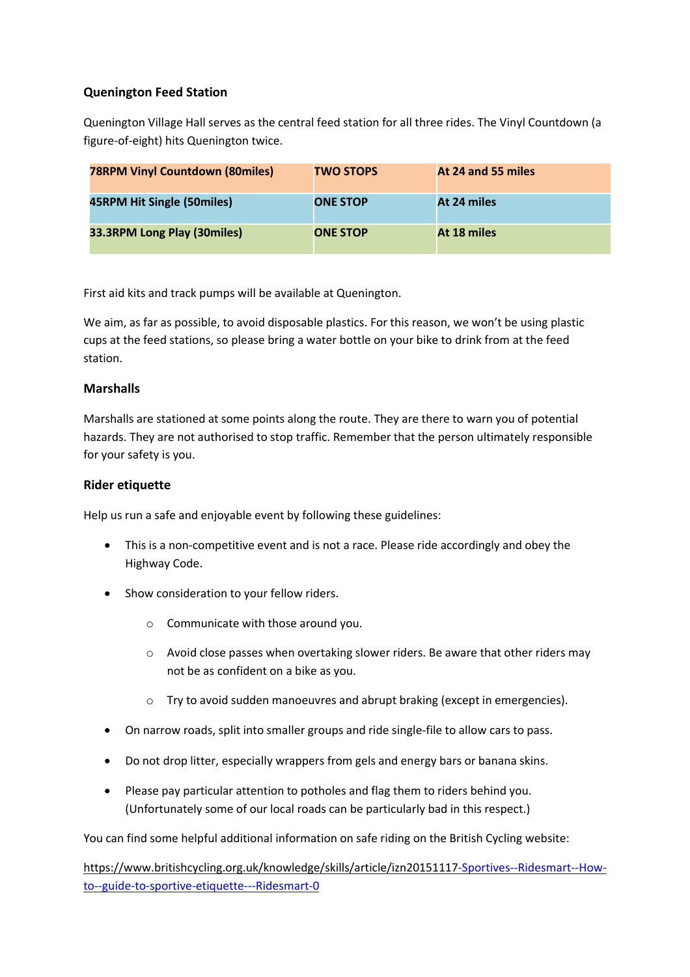# **Quenington Feed Station**

Quenington Village Hall serves as the central feed station for all three rides. The Vinyl Countdown (a figure-of-eight) hits Quenington twice.

| <b>78RPM Vinyl Countdown (80miles)</b> | <b>TWO STOPS</b> | At 24 and 55 miles |
|----------------------------------------|------------------|--------------------|
| 45RPM Hit Single (50miles)             | <b>ONE STOP</b>  | At 24 miles        |
| 33.3RPM Long Play (30miles)            | <b>ONE STOP</b>  | At 18 miles        |

First aid kits and track pumps will be available at Quenington.

We aim, as far as possible, to avoid disposable plastics. For this reason, we won't be using plastic cups at the feed stations, so please bring a water bottle on your bike to drink from at the feed station.

#### **Marshalls**

Marshalls are stationed at some points along the route. They are there to warn you of potential hazards. They are not authorised to stop traffic. Remember that the person ultimately responsible for your safety is you.

#### **Rider etiquette**

Help us run a safe and enjoyable event by following these guidelines:

- This is a non-competitive event and is not a race. Please ride accordingly and obey the Highway Code.
- Show consideration to your fellow riders.
	- o Communicate with those around you.
	- o Avoid close passes when overtaking slower riders. Be aware that other riders may not be as confident on a bike as you.
	- o Try to avoid sudden manoeuvres and abrupt braking (except in emergencies).
- On narrow roads, split into smaller groups and ride single-file to allow cars to pass.
- Do not drop litter, especially wrappers from gels and energy bars or banana skins.
- Please pay particular attention to potholes and flag them to riders behind you. (Unfortunately some of our local roads can be particularly bad in this respect.)

You can find some helpful additional information on safe riding on the British Cycling website:

[https://www.britishcycling.org.uk/knowledge/skills/article/izn20151117-](https://www.britishcycling.org.uk/knowledge/skills/article/izn20151117)Sportives--Ridesmart--Howto--guide-to-sportive-etiquette---Ridesmart-0